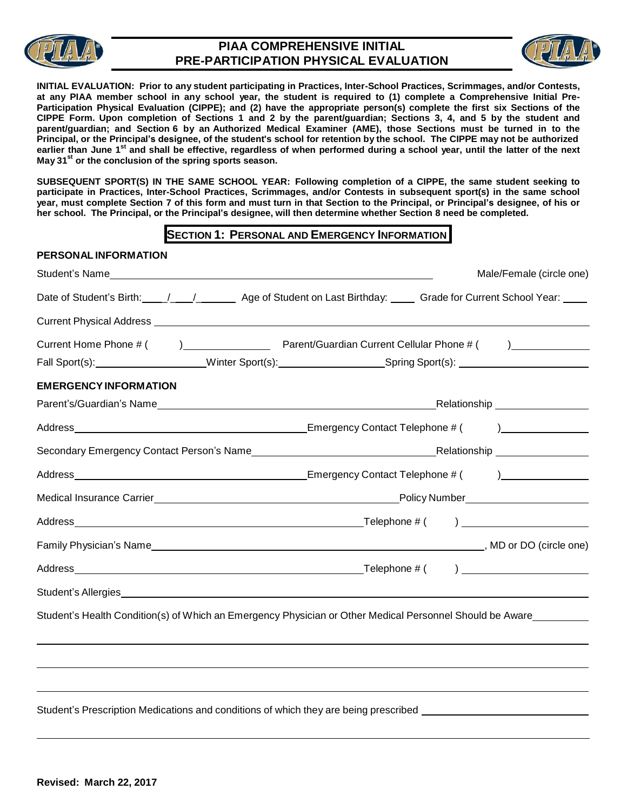

## **PIAA COMPREHENSIVE INITIAL PRE-PARTICIPATION PHYSICAL EVALUATION**



**INITIAL EVALUATION: Prior to any student participating in Practices, Inter-School Practices, Scrimmages, and/or Contests,**  at any PIAA member school in any school year, the student is required to (1) complete a Comprehensive Initial Pre-Participation Physical Evaluation (CIPPE); and (2) have the appropriate person(s) complete the first six Sections of the CIPPE Form. Upon completion of Sections 1 and 2 by the parent/guardian; Sections 3, 4, and 5 by the student and parent/guardian; and Section 6 by an Authorized Medical Examiner (AME), those Sections must be turned in to the Principal, or the Principal's designee, of the student's school for retention by the school. The CIPPE may not be authorized earlier than June 1<sup>st</sup> and shall be effective, regardless of when performed during a school year, until the latter of the next **May 31 st or the conclusion of the spring sports season.**

SUBSEQUENT SPORT(S) IN THE SAME SCHOOL YEAR: Following completion of a CIPPE, the same student seeking to participate in Practices, Inter-School Practices, Scrimmages, and/or Contests in subsequent sport(s) in the same school year, must complete Section 7 of this form and must turn in that Section to the Principal, or Principal's designee, of his or **her school. The Principal, or the Principal's designee, will then determine whether Section 8 need be completed.**

## **SECTION 1: PERSONAL AND EMERGENCY INFORMATION**

| PERSONAL INFORMATION                                                                                                                                        |  |                          |
|-------------------------------------------------------------------------------------------------------------------------------------------------------------|--|--------------------------|
|                                                                                                                                                             |  | Male/Female (circle one) |
| Date of Student's Birth: \[\stat_{\] ______________ Age of Student on Last Birthday: \[\state for Current School Year: \[\state for Current School Year: \] |  |                          |
|                                                                                                                                                             |  |                          |
|                                                                                                                                                             |  |                          |
| Fall Sport(s): _____________________Winter Sport(s): ____________________Spring Sport(s): ____________________                                              |  |                          |
| <b>EMERGENCY INFORMATION</b>                                                                                                                                |  |                          |
|                                                                                                                                                             |  |                          |
|                                                                                                                                                             |  |                          |
|                                                                                                                                                             |  |                          |
|                                                                                                                                                             |  |                          |
|                                                                                                                                                             |  |                          |
|                                                                                                                                                             |  |                          |
|                                                                                                                                                             |  |                          |
|                                                                                                                                                             |  |                          |
|                                                                                                                                                             |  |                          |
| Student's Health Condition(s) of Which an Emergency Physician or Other Medical Personnel Should be Aware                                                    |  |                          |
|                                                                                                                                                             |  |                          |
|                                                                                                                                                             |  |                          |
|                                                                                                                                                             |  |                          |
| Student's Prescription Medications and conditions of which they are being prescribed _______________                                                        |  |                          |
|                                                                                                                                                             |  |                          |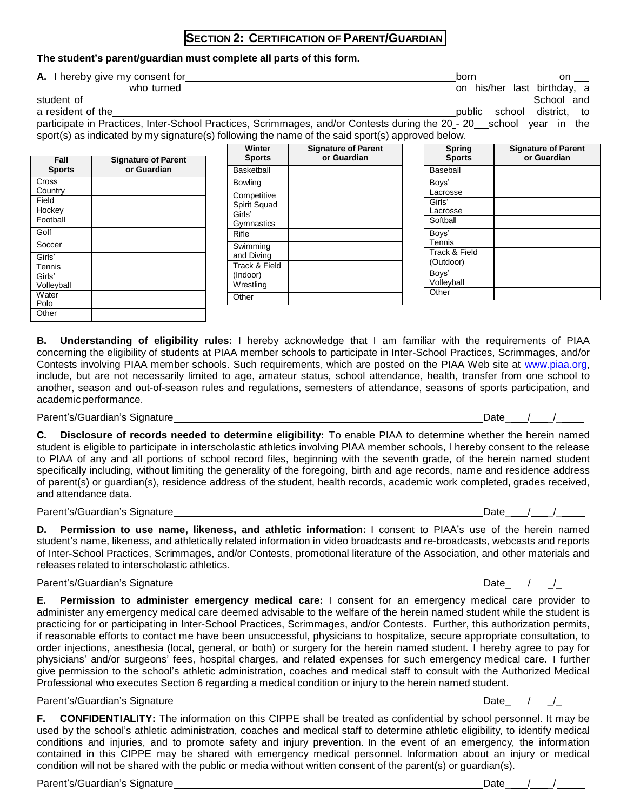### **SECTION 2: CERTIFICATION OF PARENT/GUARDIAN**

#### **The student's parent/guardian must complete all parts of this form.**

**A.** I hereby give my consent for born on the born on born on born on the born on the born on on the born on  $\theta$ 

| THE PROPERTY SHAD THEY CONCOMMENDED | .  |                  | ິ                |     |
|-------------------------------------|----|------------------|------------------|-----|
| who turned                          | on | his/her .        | last birthday, a |     |
| student of                          |    |                  | School           | and |
| a resident of the                   |    | public<br>school | district.        | to  |

participate in Practices, Inter-School Practices, Scrimmages, and/or Contests during the 20 - 20 school year in the sport(s) as indicated by my signature(s) following the name of the said sport(s) approved below.

| Fall<br><b>Sports</b> | <b>Signature of Parent</b><br>or Guardian |
|-----------------------|-------------------------------------------|
| Cross<br>Country      |                                           |
| Field<br>Hockey       |                                           |
| Football              |                                           |
| Golf                  |                                           |
| Soccer                |                                           |
| Girls'<br>Tennis      |                                           |
| Girls'<br>Volleyball  |                                           |
| Water<br>Polo         |                                           |
| Other                 |                                           |

| Winter<br><b>Sports</b>     | <b>Signature of Parent</b><br>or Guardian |
|-----------------------------|-------------------------------------------|
| Basketball                  |                                           |
| <b>Bowling</b>              |                                           |
| Competitive<br>Spirit Squad |                                           |
| Girls'<br>Gymnastics        |                                           |
| Rifle                       |                                           |
| Swimming<br>and Diving      |                                           |
| Track & Field<br>(Indoor)   |                                           |
| Wrestling                   |                                           |
| Other                       |                                           |

| Spring<br><b>Sports</b> | <b>Signature of Parent</b><br>or Guardian |
|-------------------------|-------------------------------------------|
| Baseball                |                                           |
| Boys'                   |                                           |
| Lacrosse                |                                           |
| Girls'                  |                                           |
| Lacrosse                |                                           |
| Softball                |                                           |
| Boys'                   |                                           |
| Tennis                  |                                           |
| Track & Field           |                                           |
| (Outdoor)               |                                           |
| Boys'                   |                                           |
| Volleyball              |                                           |
| Other                   |                                           |

**B. Understanding of eligibility rules:** I hereby acknowledge that I am familiar with the requirements of PIAA concerning the eligibility of students at PIAA member schools to participate in Inter-School Practices, Scrimmages, and/or Contests involving PIAA member schools. Such requirements, which are posted on the PIAA Web site at [www.piaa.org,](http://www.piaa.org/) include, but are not necessarily limited to age, amateur status, school attendance, health, transfer from one school to another, season and out-of-season rules and regulations, semesters of attendance, seasons of sports participation, and academic performance.

Parent's/Guardian's Signature Date\_ / \_/\_

**C. Disclosure of records needed to determine eligibility:** To enable PIAA to determine whether the herein named student is eligible to participate in interscholastic athletics involving PIAA member schools, I hereby consent to the release to PIAA of any and all portions of school record files, beginning with the seventh grade, of the herein named student specifically including, without limiting the generality of the foregoing, birth and age records, name and residence address of parent(s) or guardian(s), residence address of the student, health records, academic work completed, grades received, and attendance data.

Parent's/Guardian's Signature **Date**  $\overline{\phantom{a}}$  /  $\overline{\phantom{a}}$  /  $\overline{\phantom{a}}$  /  $\overline{\phantom{a}}$  /  $\overline{\phantom{a}}$  /  $\overline{\phantom{a}}$ 

**D. Permission to use name, likeness, and athletic information:** I consent to PIAA's use of the herein named student's name, likeness, and athletically related information in video broadcasts and re-broadcasts, webcasts and reports of Inter-School Practices, Scrimmages, and/or Contests, promotional literature of the Association, and other materials and releases related to interscholastic athletics.

Parent's/Guardian's Signature **Date** *Date Date Date Date Date Date Date Date Date Date Date Date Date Date Date Date Date Date Date Date Date Date Date Date Date Date Da* 

**E. Permission to administer emergency medical care:** I consent for an emergency medical care provider to administer any emergency medical care deemed advisable to the welfare of the herein named student while the student is practicing for or participating in Inter-School Practices, Scrimmages, and/or Contests. Further, this authorization permits, if reasonable efforts to contact me have been unsuccessful, physicians to hospitalize, secure appropriate consultation, to order injections, anesthesia (local, general, or both) or surgery for the herein named student. I hereby agree to pay for physicians' and/or surgeons' fees, hospital charges, and related expenses for such emergency medical care. I further give permission to the school's athletic administration, coaches and medical staff to consult with the Authorized Medical Professional who executes Section 6 regarding a medical condition or injury to the herein named student.

Parent's/Guardian's Signature **Date** *Date Date Date Date Date Date Date Date Date Date Date Date Date Date Date Date Date Date Date Date Date Date Date Date Date Date Da* 

**F. CONFIDENTIALITY:** The information on this CIPPE shall be treated as confidential by school personnel. It may be used by the school's athletic administration, coaches and medical staff to determine athletic eligibility, to identify medical conditions and injuries, and to promote safety and injury prevention. In the event of an emergency, the information contained in this CIPPE may be shared with emergency medical personnel. Information about an injury or medical condition will not be shared with the public or media without written consent of the parent(s) or guardian(s).

Parent's/Guardian's Signature **Date Access 1996** and 2009 and 2009 and 2009 and 2009 and 2009 and 2009 and 2009 and 2009 and 2009 and 2009 and 2009 and 2009 and 2009 and 2009 and 2009 and 2009 and 2009 and 2009 and 2009 an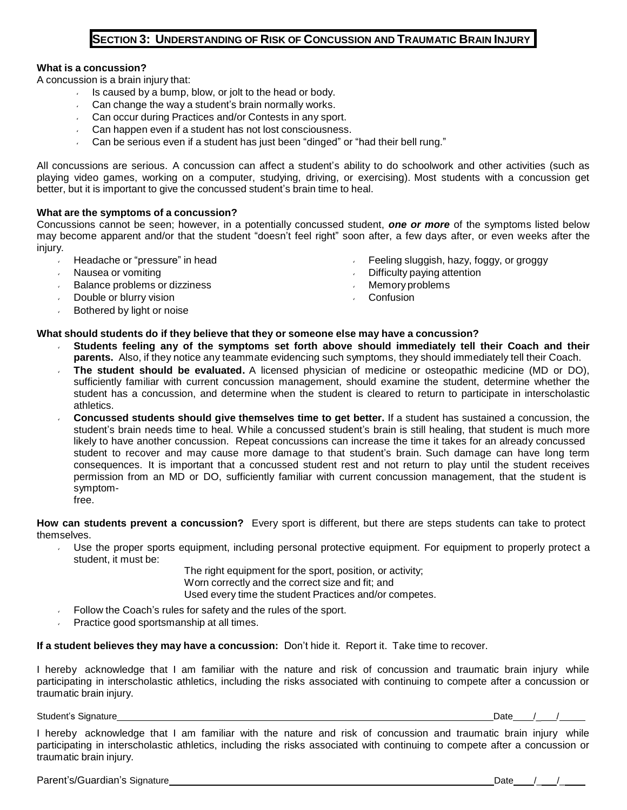## **SECTION 3: UNDERSTANDING OF RISK OF CONCUSSION AND TRAUMATIC BRAIN INJURY**

#### **What is a concussion?**

A concussion is a brain injury that:

- Is caused by a bump, blow, or jolt to the head or body.
- Can change the way a student's brain normally works.
- Can occur during Practices and/or Contests in any sport.
- **Can happen even if a student has not lost consciousness.**
- Can be serious even if a student has just been "dinged" or "had their bell rung."

All concussions are serious. A concussion can affect a student's ability to do schoolwork and other activities (such as playing video games, working on a computer, studying, driving, or exercising). Most students with a concussion get better, but it is important to give the concussed student's brain time to heal.

#### **What are the symptoms of a concussion?**

Concussions cannot be seen; however, in a potentially concussed student, *one or more* of the symptoms listed below may become apparent and/or that the student "doesn't feel right" soon after, a few days after, or even weeks after the injury.

- Headache or "pressure" in head  $\mathbf{v}$
- Nausea or vomiting
- Balance problems or dizziness
- Double or blurry vision
- Bothered by light or noise
- Feeling sluggish, hazy, foggy, or groggy
- Difficulty paying attention
- Memoryproblems
- **Confusion**

#### **What should students do if they believe that they or someone else may have a concussion?**

- **Students feeling any of the symptoms set forth above should immediately tell their Coach and their parents.** Also, if they notice any teammate evidencing such symptoms, they should immediately tell their Coach.
- **The student should be evaluated.** A licensed physician of medicine or osteopathic medicine (MD or DO), sufficiently familiar with current concussion management, should examine the student, determine whether the student has a concussion, and determine when the student is cleared to return to participate in interscholastic athletics.
- **Concussed students should give themselves time to get better.** If a student has sustained a concussion, the student's brain needs time to heal. While a concussed student's brain is still healing, that student is much more likely to have another concussion. Repeat concussions can increase the time it takes for an already concussed student to recover and may cause more damage to that student's brain. Such damage can have long term consequences. It is important that a concussed student rest and not return to play until the student receives permission from an MD or DO, sufficiently familiar with current concussion management, that the student is symptomfree.

**How can students prevent a concussion?** Every sport is different, but there are steps students can take to protect themselves.

Use the proper sports equipment, including personal protective equipment. For equipment to properly protect a  $\mathbf{v}$  . student, it must be:

> The right equipment for the sport, position, or activity; Worn correctly and the correct size and fit; and Used every time the student Practices and/or competes.

- Follow the Coach's rules for safety and the rules of the sport.
- Practice good sportsmanship at all times.

**If a student believes they may have a concussion:** Don't hide it. Report it. Take time to recover.

I hereby acknowledge that I am familiar with the nature and risk of concussion and traumatic brain injury while participating in interscholastic athletics, including the risks associated with continuing to compete after a concussion or traumatic brain injury.

Student's Signature **Date 19th Contract Contract Contract Contract Contract Contract Contract Contract Contract Contract Contract Contract Contract Contract Contract Contract Contract Contract Contract Contract Contract Co** 

I hereby acknowledge that I am familiar with the nature and risk of concussion and traumatic brain injury while participating in interscholastic athletics, including the risks associated with continuing to compete after a concussion or traumatic brain injury.

Parent's/Guardian's Signature Date /\_ /\_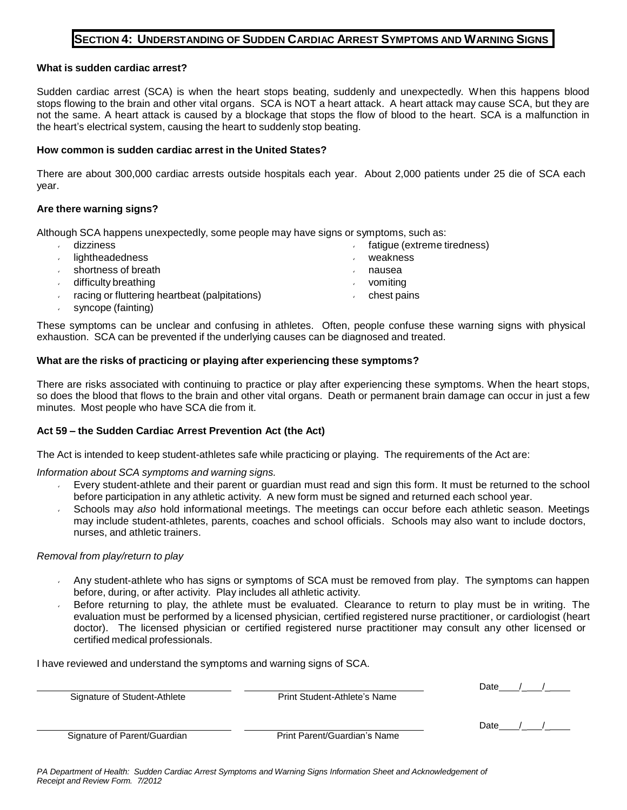## **SECTION 4: UNDERSTANDING OF SUDDEN CARDIAC ARREST SYMPTOMS AND WARNING SIGNS**

#### **What is sudden cardiac arrest?**

Sudden cardiac arrest (SCA) is when the heart stops beating, suddenly and unexpectedly. When this happens blood stops flowing to the brain and other vital organs. SCA is NOT a heart attack. A heart attack may cause SCA, but they are not the same. A heart attack is caused by a blockage that stops the flow of blood to the heart. SCA is a malfunction in the heart's electrical system, causing the heart to suddenly stop beating.

#### **How common is sudden cardiac arrest in the United States?**

There are about 300,000 cardiac arrests outside hospitals each year. About 2,000 patients under 25 die of SCA each year.

#### **Are there warning signs?**

Although SCA happens unexpectedly, some people may have signs or symptoms, such as:

- $\mathcal{L}$ dizziness fatigue (extreme tiredness) lightheadedness weakness shortness of breath nausea difficulty breathing vomiting racing or fluttering heartbeat (palpitations) chest pains
- syncope (fainting)

These symptoms can be unclear and confusing in athletes. Often, people confuse these warning signs with physical exhaustion. SCA can be prevented if the underlying causes can be diagnosed and treated.

#### **What are the risks of practicing or playing after experiencing these symptoms?**

There are risks associated with continuing to practice or play after experiencing these symptoms. When the heart stops, so does the blood that flows to the brain and other vital organs. Death or permanent brain damage can occur in just a few minutes. Most people who have SCA die from it.

#### **Act 59 – the Sudden Cardiac Arrest Prevention Act (the Act)**

The Act is intended to keep student-athletes safe while practicing or playing. The requirements of the Act are:

*Information about SCA symptoms and warning signs.*

- Every student-athlete and their parent or guardian must read and sign this form. It must be returned to the school before participation in any athletic activity. A new form must be signed and returned each school year.
- Schools may *also* hold informational meetings. The meetings can occur before each athletic season. Meetings may include student-athletes, parents, coaches and school officials. Schools may also want to include doctors, nurses, and athletic trainers.

#### *Removal from play/return to play*

- Any student-athlete who has signs or symptoms of SCA must be removed from play. The symptoms can happen before, during, or after activity. Play includes all athletic activity.
- Before returning to play, the athlete must be evaluated. Clearance to return to play must be in writing. The evaluation must be performed by a licensed physician, certified registered nurse practitioner, or cardiologist (heart doctor). The licensed physician or certified registered nurse practitioner may consult any other licensed or certified medical professionals.

I have reviewed and understand the symptoms and warning signs of SCA.

| Signature of Student-Athlete | Print Student-Athlete's Name | Date |
|------------------------------|------------------------------|------|
|                              |                              | Date |
| Signature of Parent/Guardian | Print Parent/Guardian's Name |      |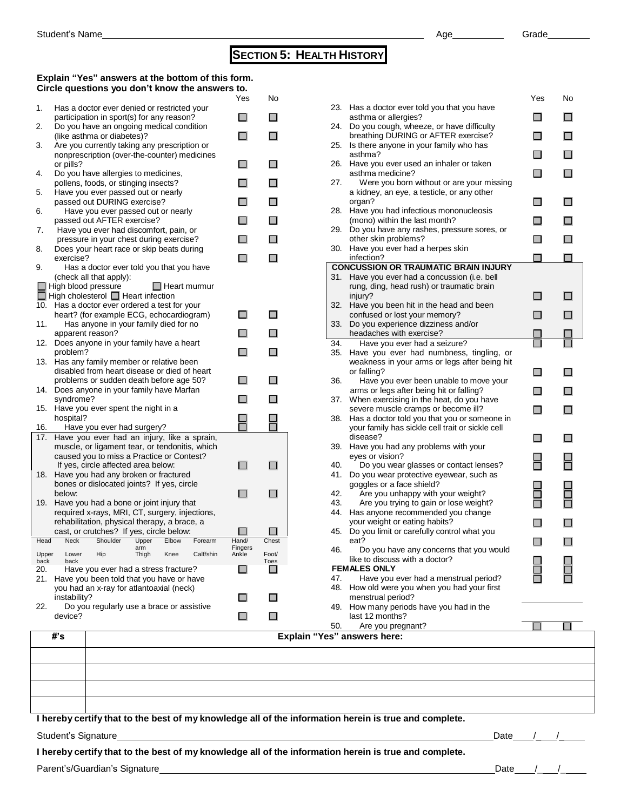# **SECTION 5: HEALTH HISTORY**

#### **Explain "Yes" answers at the bottom of this form. Circle questions you don't know the answers to.**

|            | #'s             |                                                                                               |              |       |                     |                  |                | <b>Explain "Ye</b> |
|------------|-----------------|-----------------------------------------------------------------------------------------------|--------------|-------|---------------------|------------------|----------------|--------------------|
|            | device?         |                                                                                               |              |       |                     |                  |                |                    |
| 22.        | instability?    | Do you regularly use a brace or assistive                                                     |              |       |                     |                  |                |                    |
|            |                 | you had an x-ray for atlantoaxial (neck)                                                      |              |       |                     |                  |                |                    |
| 20.<br>21. |                 | Have you ever had a stress fracture?<br>Have you been told that you have or have              |              |       |                     | $\mathsf{L}$     |                |                    |
| back       | back            |                                                                                               |              |       |                     |                  | Toes           |                    |
|            | Upper Lower Hip |                                                                                               | arm<br>Thigh |       | Knee Calf/shin      | Fingers<br>Ankle | Foot/          |                    |
| Head       | Neck            | cast, or crutches? If yes, circle below:<br>Shoulder                                          | Upper        | Elbow | Forearm             | Hand/            | Chest          |                    |
|            |                 | rehabilitation, physical therapy, a brace, a                                                  |              |       |                     |                  |                |                    |
|            |                 | required x-rays, MRI, CT, surgery, injections,                                                |              |       |                     |                  |                |                    |
| 19.        |                 | Have you had a bone or joint injury that                                                      |              |       |                     |                  |                |                    |
|            | below:          | bones or dislocated joints? If yes, circle                                                    |              |       |                     |                  |                |                    |
| 18.        |                 | Have you had any broken or fractured                                                          |              |       |                     |                  |                |                    |
|            |                 | If yes, circle affected area below:                                                           |              |       |                     | $\mathsf{L}$     |                |                    |
|            |                 | caused you to miss a Practice or Contest?                                                     |              |       |                     |                  |                |                    |
| 17.        |                 | Have you ever had an injury, like a sprain,<br>muscle, or ligament tear, or tendonitis, which |              |       |                     |                  |                |                    |
| 16.        |                 | Have you ever had surgery?                                                                    |              |       |                     |                  |                |                    |
|            | hospital?       |                                                                                               |              |       |                     |                  |                |                    |
| 15.        | syndrome?       | Have you ever spent the night in a                                                            |              |       |                     |                  |                |                    |
| 14.        |                 | Does anyone in your family have Marfan                                                        |              |       |                     |                  |                |                    |
|            |                 | problems or sudden death before age 50?                                                       |              |       |                     | $\mathsf{L}$     |                |                    |
|            |                 | disabled from heart disease or died of heart                                                  |              |       |                     |                  |                |                    |
| 13.        | problem?        | Has any family member or relative been                                                        |              |       |                     |                  |                |                    |
| 12.        |                 | Does anyone in your family have a heart                                                       |              |       |                     | ⊓                |                |                    |
|            |                 | apparent reason?                                                                              |              |       |                     |                  |                |                    |
| 11.        |                 | Has anyone in your family died for no                                                         |              |       |                     |                  |                |                    |
|            |                 | heart? (for example ECG, echocardiogram)                                                      |              |       |                     | $\Box$           | <b>Talling</b> |                    |
| 10.        |                 | $\Box$ High cholesterol $\Box$ Heart infection<br>Has a doctor ever ordered a test for your   |              |       |                     |                  |                |                    |
|            |                 | $\Box$ High blood pressure                                                                    |              |       | $\Box$ Heart murmur |                  |                |                    |
|            |                 | (check all that apply):                                                                       |              |       |                     |                  |                |                    |
| 9.         |                 | Has a doctor ever told you that you have                                                      |              |       |                     |                  |                |                    |
| 8.         | exercise?       | Does your heart race or skip beats during                                                     |              |       |                     | П                |                |                    |
|            |                 | pressure in your chest during exercise?                                                       |              |       |                     |                  |                |                    |
| 7.         |                 | Have you ever had discomfort, pain, or                                                        |              |       |                     |                  |                |                    |
|            |                 | Have you ever passed out or nearly<br>passed out AFTER exercise?                              |              |       |                     | П                |                |                    |
| 6.         |                 | passed out DURING exercise?                                                                   |              |       |                     | ГΙ               |                |                    |
| 5.         |                 | Have you ever passed out or nearly                                                            |              |       |                     |                  |                |                    |
|            |                 | pollens, foods, or stinging insects?                                                          |              |       |                     | $\mathsf{L}$     |                |                    |
| 4.         | or pills?       | Do you have allergies to medicines,                                                           |              |       |                     | $\mathsf{L}$     |                |                    |
|            |                 | nonprescription (over-the-counter) medicines                                                  |              |       |                     |                  |                |                    |
| 3.         |                 | Are you currently taking any prescription or                                                  |              |       |                     |                  |                |                    |
| 2.         |                 | Do you have an ongoing medical condition<br>(like asthma or diabetes)?                        |              |       |                     | П                |                |                    |
|            |                 | participation in sport(s) for any reason?                                                     |              |       |                     | $\mathsf{L}$     | П              |                    |
| 1.         |                 | Has a doctor ever denied or restricted your                                                   |              |       |                     |                  |                |                    |
|            |                 |                                                                                               |              |       |                     | Yes              | No             |                    |

|     |                                                                                         | Yes | No |
|-----|-----------------------------------------------------------------------------------------|-----|----|
| 23. | Has a doctor ever told you that you have<br>asthma or allergies?                        |     | П  |
| 24. | Do you cough, wheeze, or have difficulty<br>breathing DURING or AFTER exercise?         |     | П  |
| 25. | Is there anyone in your family who has                                                  |     |    |
| 26. | asthma?<br>Have you ever used an inhaler or taken                                       |     | П  |
|     | asthma medicine?                                                                        |     | П  |
| 27. | Were you born without or are your missing<br>a kidney, an eye, a testicle, or any other |     |    |
| 28. | organ?<br>Have you had infectious mononucleosis                                         |     | П  |
|     | (mono) within the last month?                                                           |     |    |
| 29. | Do you have any rashes, pressure sores, or<br>other skin problems?                      |     |    |
| 30. | Have you ever had a herpes skin<br>infection?                                           |     |    |
|     | <b>CONCUSSION OR TRAUMATIC BRAIN INJURY</b>                                             |     |    |
| 31. | Have you ever had a concussion (i.e. bell                                               |     |    |
|     | rung, ding, head rush) or traumatic brain                                               |     |    |
| 32. | injury?<br>Have you been hit in the head and been                                       |     |    |
|     | confused or lost your memory?                                                           |     |    |
| 33. | Do you experience dizziness and/or<br>headaches with exercise?                          |     |    |
| 34. | Have you ever had a seizure?                                                            |     |    |
| 35. | Have you ever had numbness, tingling, or                                                |     |    |
|     | weakness in your arms or legs after being hit                                           |     |    |
|     | or falling?                                                                             |     |    |
| 36. | Have you ever been unable to move your                                                  |     |    |
| 37. | arms or legs after being hit or falling?                                                |     | H  |
|     | When exercising in the heat, do you have<br>severe muscle cramps or become ill?         | n   | П  |
| 38. | Has a doctor told you that you or someone in                                            |     |    |
|     | your family has sickle cell trait or sickle cell                                        |     |    |
| 39. | disease?                                                                                |     | H  |
|     | Have you had any problems with your<br>eyes or vision?                                  |     |    |
| 40. | Do you wear glasses or contact lenses?                                                  |     |    |
| 41. | Do you wear protective eyewear, such as                                                 |     |    |
| 42. | goggles or a face shield?                                                               |     |    |
| 43. | Are you unhappy with your weight?<br>Are you trying to gain or lose weight?             |     |    |
| 44. | Has anyone recommended you change                                                       |     |    |
|     | your weight or eating habits?                                                           |     |    |
| 45. | Do you limit or carefully control what you<br>eat?                                      | - 1 | П  |
| 46. | Do you have any concerns that you would                                                 |     |    |
|     | like to discuss with a doctor?<br><b>FEMALES ONLY</b>                                   |     |    |
| 47. | Have you ever had a menstrual period?                                                   |     |    |
| 48. | How old were you when you had your first                                                |     |    |
|     | menstrual period?                                                                       |     |    |
| 49. | How many periods have you had in the                                                    |     |    |
|     | last 12 months?                                                                         |     |    |
| 50. | Are you pregnant?                                                                       |     |    |
|     | s" answers here:                                                                        |     |    |
|     |                                                                                         |     |    |

**I hereby certify that to the best of my knowledge all of the information herein is true and complete.**

Student's Signature\_

| Date |  |  |
|------|--|--|

**I hereby certify that to the best of my knowledge all of the information herein is true and complete.**

Parent's/Guardian's Signature **Date 19th Control of Control of Control of Control of Control of Control of Control of Control of Control of Control of Control of Control of Control of Control of Control of Control of Contr**